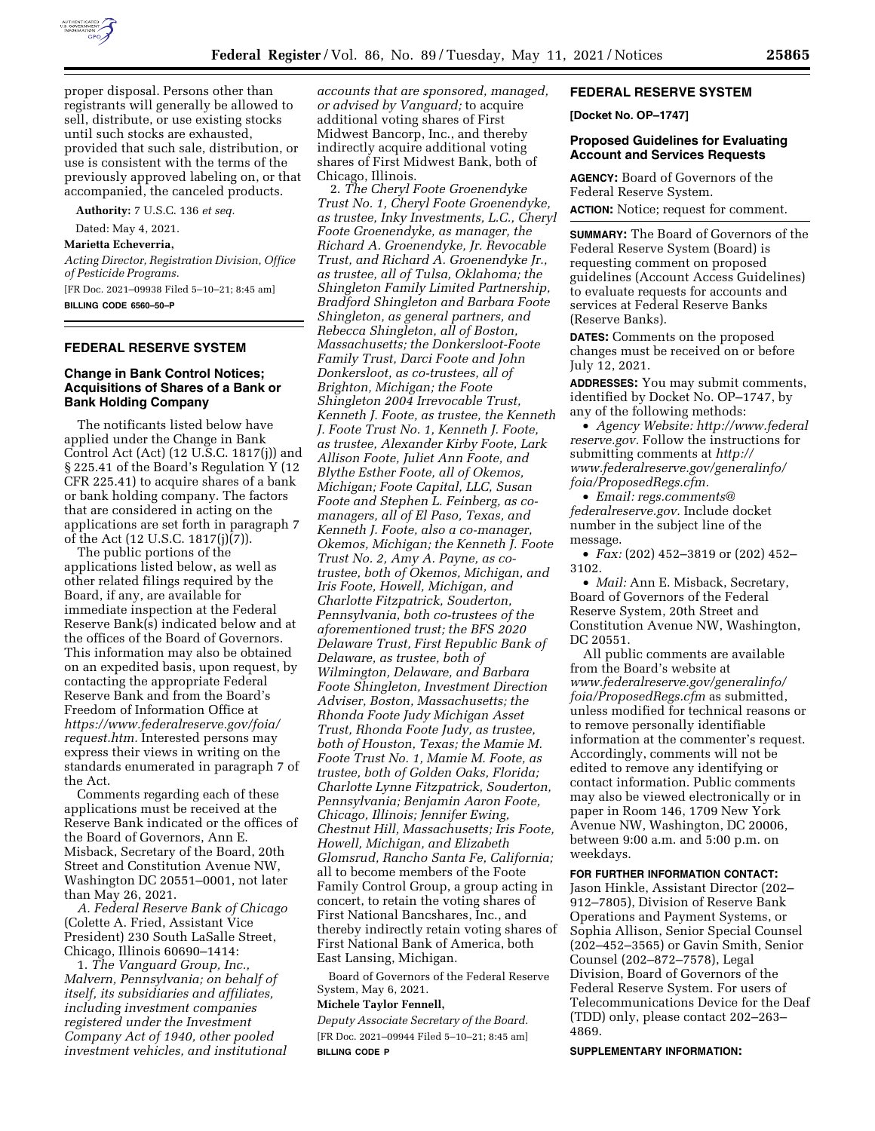

proper disposal. Persons other than registrants will generally be allowed to sell, distribute, or use existing stocks until such stocks are exhausted, provided that such sale, distribution, or use is consistent with the terms of the previously approved labeling on, or that accompanied, the canceled products.

**Authority:** 7 U.S.C. 136 *et seq.* 

Dated: May 4, 2021.

## **Marietta Echeverria,**

*Acting Director, Registration Division, Office of Pesticide Programs.*  [FR Doc. 2021–09938 Filed 5–10–21; 8:45 am]

# **BILLING CODE 6560–50–P**

### **FEDERAL RESERVE SYSTEM**

## **Change in Bank Control Notices; Acquisitions of Shares of a Bank or Bank Holding Company**

The notificants listed below have applied under the Change in Bank Control Act (Act) (12 U.S.C. 1817(j)) and § 225.41 of the Board's Regulation Y (12 CFR 225.41) to acquire shares of a bank or bank holding company. The factors that are considered in acting on the applications are set forth in paragraph 7 of the Act (12 U.S.C. 1817(j)(7)).

The public portions of the applications listed below, as well as other related filings required by the Board, if any, are available for immediate inspection at the Federal Reserve Bank(s) indicated below and at the offices of the Board of Governors. This information may also be obtained on an expedited basis, upon request, by contacting the appropriate Federal Reserve Bank and from the Board's Freedom of Information Office at *[https://www.federalreserve.gov/foia/](https://www.federalreserve.gov/foia/request.htm) [request.htm.](https://www.federalreserve.gov/foia/request.htm)* Interested persons may express their views in writing on the standards enumerated in paragraph 7 of the Act.

Comments regarding each of these applications must be received at the Reserve Bank indicated or the offices of the Board of Governors, Ann E. Misback, Secretary of the Board, 20th Street and Constitution Avenue NW, Washington DC 20551–0001, not later than May 26, 2021.

*A. Federal Reserve Bank of Chicago*  (Colette A. Fried, Assistant Vice President) 230 South LaSalle Street, Chicago, Illinois 60690–1414:

1. *The Vanguard Group, Inc., Malvern, Pennsylvania; on behalf of itself, its subsidiaries and affiliates, including investment companies registered under the Investment Company Act of 1940, other pooled investment vehicles, and institutional* 

*accounts that are sponsored, managed, or advised by Vanguard;* to acquire additional voting shares of First Midwest Bancorp, Inc., and thereby indirectly acquire additional voting shares of First Midwest Bank, both of Chicago, Illinois.

2. *The Cheryl Foote Groenendyke Trust No. 1, Cheryl Foote Groenendyke, as trustee, Inky Investments, L.C., Cheryl Foote Groenendyke, as manager, the Richard A. Groenendyke, Jr. Revocable Trust, and Richard A. Groenendyke Jr., as trustee, all of Tulsa, Oklahoma; the Shingleton Family Limited Partnership, Bradford Shingleton and Barbara Foote Shingleton, as general partners, and Rebecca Shingleton, all of Boston, Massachusetts; the Donkersloot-Foote Family Trust, Darci Foote and John Donkersloot, as co-trustees, all of Brighton, Michigan; the Foote Shingleton 2004 Irrevocable Trust, Kenneth J. Foote, as trustee, the Kenneth J. Foote Trust No. 1, Kenneth J. Foote, as trustee, Alexander Kirby Foote, Lark Allison Foote, Juliet Ann Foote, and Blythe Esther Foote, all of Okemos, Michigan; Foote Capital, LLC, Susan Foote and Stephen L. Feinberg, as comanagers, all of El Paso, Texas, and Kenneth J. Foote, also a co-manager, Okemos, Michigan; the Kenneth J. Foote Trust No. 2, Amy A. Payne, as cotrustee, both of Okemos, Michigan, and Iris Foote, Howell, Michigan, and Charlotte Fitzpatrick, Souderton, Pennsylvania, both co-trustees of the aforementioned trust; the BFS 2020 Delaware Trust, First Republic Bank of Delaware, as trustee, both of Wilmington, Delaware, and Barbara Foote Shingleton, Investment Direction Adviser, Boston, Massachusetts; the Rhonda Foote Judy Michigan Asset Trust, Rhonda Foote Judy, as trustee, both of Houston, Texas; the Mamie M. Foote Trust No. 1, Mamie M. Foote, as trustee, both of Golden Oaks, Florida; Charlotte Lynne Fitzpatrick, Souderton, Pennsylvania; Benjamin Aaron Foote, Chicago, Illinois; Jennifer Ewing, Chestnut Hill, Massachusetts; Iris Foote, Howell, Michigan, and Elizabeth Glomsrud, Rancho Santa Fe, California;*  all to become members of the Foote Family Control Group, a group acting in concert, to retain the voting shares of First National Bancshares, Inc., and thereby indirectly retain voting shares of First National Bank of America, both East Lansing, Michigan.

Board of Governors of the Federal Reserve System, May 6, 2021.

#### **Michele Taylor Fennell,**

*Deputy Associate Secretary of the Board.*  [FR Doc. 2021–09944 Filed 5–10–21; 8:45 am] **BILLING CODE P** 

### **FEDERAL RESERVE SYSTEM**

**[Docket No. OP–1747]** 

### **Proposed Guidelines for Evaluating Account and Services Requests**

**AGENCY:** Board of Governors of the Federal Reserve System. **ACTION:** Notice; request for comment.

**SUMMARY:** The Board of Governors of the Federal Reserve System (Board) is requesting comment on proposed guidelines (Account Access Guidelines) to evaluate requests for accounts and services at Federal Reserve Banks (Reserve Banks).

**DATES:** Comments on the proposed changes must be received on or before July 12, 2021.

**ADDRESSES:** You may submit comments, identified by Docket No. OP–1747, by any of the following methods:

• *Agency Website: [http://www.federal](http://www.federalreserve.gov) [reserve.gov.](http://www.federalreserve.gov)* Follow the instructions for submitting comments at *http:// [www.federalreserve.gov/generalinfo/](http://www.federalreserve.gov/generalinfo/foia/ProposedRegs.cfm) [foia/ProposedRegs.cfm.](http://www.federalreserve.gov/generalinfo/foia/ProposedRegs.cfm)* 

• *Email: [regs.comments@](mailto:regs.comments@federalreserve.gov) [federalreserve.gov.](mailto:regs.comments@federalreserve.gov)* Include docket number in the subject line of the message.

• *Fax:* (202) 452–3819 or (202) 452– 3102.

• *Mail:* Ann E. Misback, Secretary, Board of Governors of the Federal Reserve System, 20th Street and Constitution Avenue NW, Washington, DC 20551.

All public comments are available from the Board's website at *[www.federalreserve.gov/generalinfo/](http://www.federalreserve.gov/generalinfo/foia/ProposedRegs.cfm) [foia/ProposedRegs.cfm](http://www.federalreserve.gov/generalinfo/foia/ProposedRegs.cfm)* as submitted, unless modified for technical reasons or to remove personally identifiable information at the commenter's request. Accordingly, comments will not be edited to remove any identifying or contact information. Public comments may also be viewed electronically or in paper in Room 146, 1709 New York Avenue NW, Washington, DC 20006, between 9:00 a.m. and 5:00 p.m. on weekdays.

#### **FOR FURTHER INFORMATION CONTACT:**

Jason Hinkle, Assistant Director (202– 912–7805), Division of Reserve Bank Operations and Payment Systems, or Sophia Allison, Senior Special Counsel (202–452–3565) or Gavin Smith, Senior Counsel (202–872–7578), Legal Division, Board of Governors of the Federal Reserve System. For users of Telecommunications Device for the Deaf (TDD) only, please contact 202–263– 4869.

#### **SUPPLEMENTARY INFORMATION:**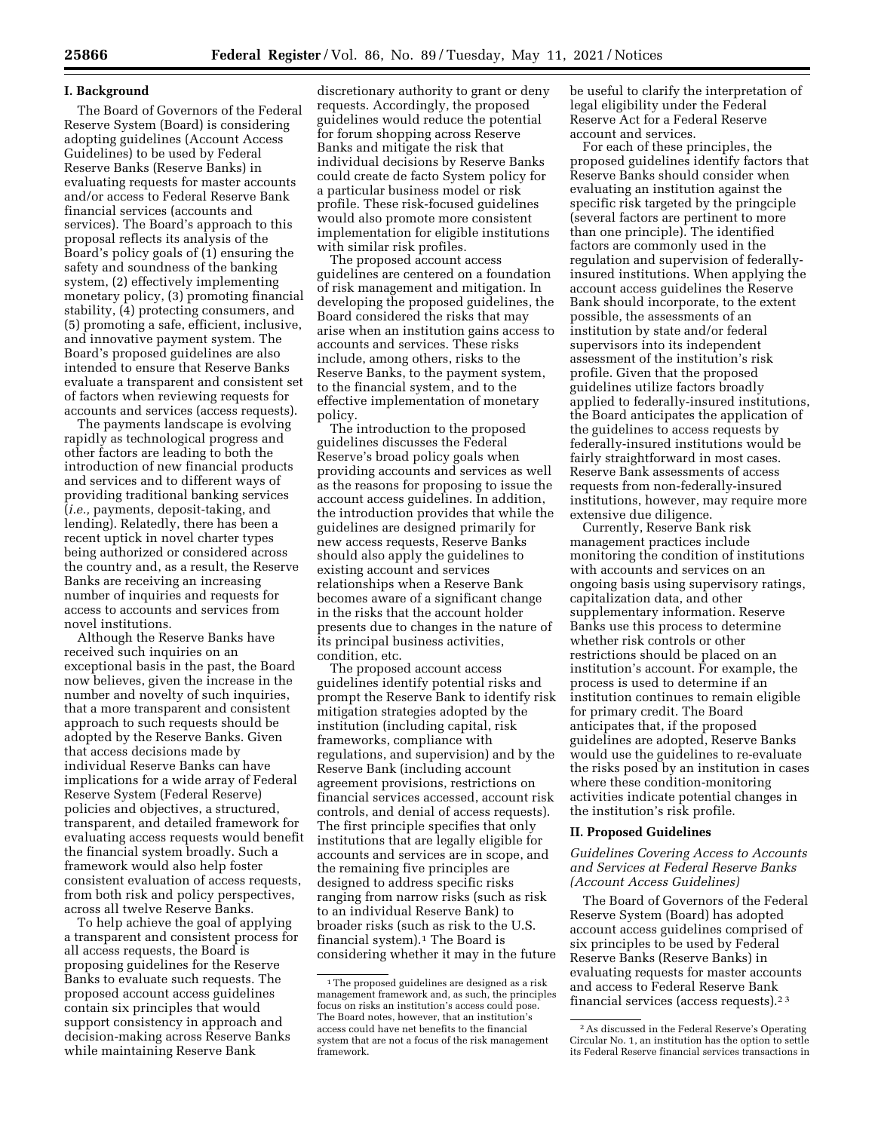#### **I. Background**

The Board of Governors of the Federal Reserve System (Board) is considering adopting guidelines (Account Access Guidelines) to be used by Federal Reserve Banks (Reserve Banks) in evaluating requests for master accounts and/or access to Federal Reserve Bank financial services (accounts and services). The Board's approach to this proposal reflects its analysis of the Board's policy goals of (1) ensuring the safety and soundness of the banking system, (2) effectively implementing monetary policy, (3) promoting financial stability, (4) protecting consumers, and (5) promoting a safe, efficient, inclusive, and innovative payment system. The Board's proposed guidelines are also intended to ensure that Reserve Banks evaluate a transparent and consistent set of factors when reviewing requests for accounts and services (access requests).

The payments landscape is evolving rapidly as technological progress and other factors are leading to both the introduction of new financial products and services and to different ways of providing traditional banking services (*i.e.,* payments, deposit-taking, and lending). Relatedly, there has been a recent uptick in novel charter types being authorized or considered across the country and, as a result, the Reserve Banks are receiving an increasing number of inquiries and requests for access to accounts and services from novel institutions.

Although the Reserve Banks have received such inquiries on an exceptional basis in the past, the Board now believes, given the increase in the number and novelty of such inquiries, that a more transparent and consistent approach to such requests should be adopted by the Reserve Banks. Given that access decisions made by individual Reserve Banks can have implications for a wide array of Federal Reserve System (Federal Reserve) policies and objectives, a structured, transparent, and detailed framework for evaluating access requests would benefit the financial system broadly. Such a framework would also help foster consistent evaluation of access requests, from both risk and policy perspectives, across all twelve Reserve Banks.

To help achieve the goal of applying a transparent and consistent process for all access requests, the Board is proposing guidelines for the Reserve Banks to evaluate such requests. The proposed account access guidelines contain six principles that would support consistency in approach and decision-making across Reserve Banks while maintaining Reserve Bank

discretionary authority to grant or deny requests. Accordingly, the proposed guidelines would reduce the potential for forum shopping across Reserve Banks and mitigate the risk that individual decisions by Reserve Banks could create de facto System policy for a particular business model or risk profile. These risk-focused guidelines would also promote more consistent implementation for eligible institutions with similar risk profiles.

The proposed account access guidelines are centered on a foundation of risk management and mitigation. In developing the proposed guidelines, the Board considered the risks that may arise when an institution gains access to accounts and services. These risks include, among others, risks to the Reserve Banks, to the payment system, to the financial system, and to the effective implementation of monetary policy.

The introduction to the proposed guidelines discusses the Federal Reserve's broad policy goals when providing accounts and services as well as the reasons for proposing to issue the account access guidelines. In addition, the introduction provides that while the guidelines are designed primarily for new access requests, Reserve Banks should also apply the guidelines to existing account and services relationships when a Reserve Bank becomes aware of a significant change in the risks that the account holder presents due to changes in the nature of its principal business activities, condition, etc.

The proposed account access guidelines identify potential risks and prompt the Reserve Bank to identify risk mitigation strategies adopted by the institution (including capital, risk frameworks, compliance with regulations, and supervision) and by the Reserve Bank (including account agreement provisions, restrictions on financial services accessed, account risk controls, and denial of access requests). The first principle specifies that only institutions that are legally eligible for accounts and services are in scope, and the remaining five principles are designed to address specific risks ranging from narrow risks (such as risk to an individual Reserve Bank) to broader risks (such as risk to the U.S. financial system).1 The Board is considering whether it may in the future

be useful to clarify the interpretation of legal eligibility under the Federal Reserve Act for a Federal Reserve account and services.

For each of these principles, the proposed guidelines identify factors that Reserve Banks should consider when evaluating an institution against the specific risk targeted by the pringciple (several factors are pertinent to more than one principle). The identified factors are commonly used in the regulation and supervision of federallyinsured institutions. When applying the account access guidelines the Reserve Bank should incorporate, to the extent possible, the assessments of an institution by state and/or federal supervisors into its independent assessment of the institution's risk profile. Given that the proposed guidelines utilize factors broadly applied to federally-insured institutions, the Board anticipates the application of the guidelines to access requests by federally-insured institutions would be fairly straightforward in most cases. Reserve Bank assessments of access requests from non-federally-insured institutions, however, may require more extensive due diligence.

Currently, Reserve Bank risk management practices include monitoring the condition of institutions with accounts and services on an ongoing basis using supervisory ratings, capitalization data, and other supplementary information. Reserve Banks use this process to determine whether risk controls or other restrictions should be placed on an institution's account. For example, the process is used to determine if an institution continues to remain eligible for primary credit. The Board anticipates that, if the proposed guidelines are adopted, Reserve Banks would use the guidelines to re-evaluate the risks posed by an institution in cases where these condition-monitoring activities indicate potential changes in the institution's risk profile.

### **II. Proposed Guidelines**

*Guidelines Covering Access to Accounts and Services at Federal Reserve Banks (Account Access Guidelines)* 

The Board of Governors of the Federal Reserve System (Board) has adopted account access guidelines comprised of six principles to be used by Federal Reserve Banks (Reserve Banks) in evaluating requests for master accounts and access to Federal Reserve Bank financial services (access requests).2 3

<sup>1</sup>The proposed guidelines are designed as a risk management framework and, as such, the principles focus on risks an institution's access could pose. The Board notes, however, that an institution's access could have net benefits to the financial system that are not a focus of the risk management framework.

<sup>2</sup>As discussed in the Federal Reserve's Operating Circular No. 1, an institution has the option to settle its Federal Reserve financial services transactions in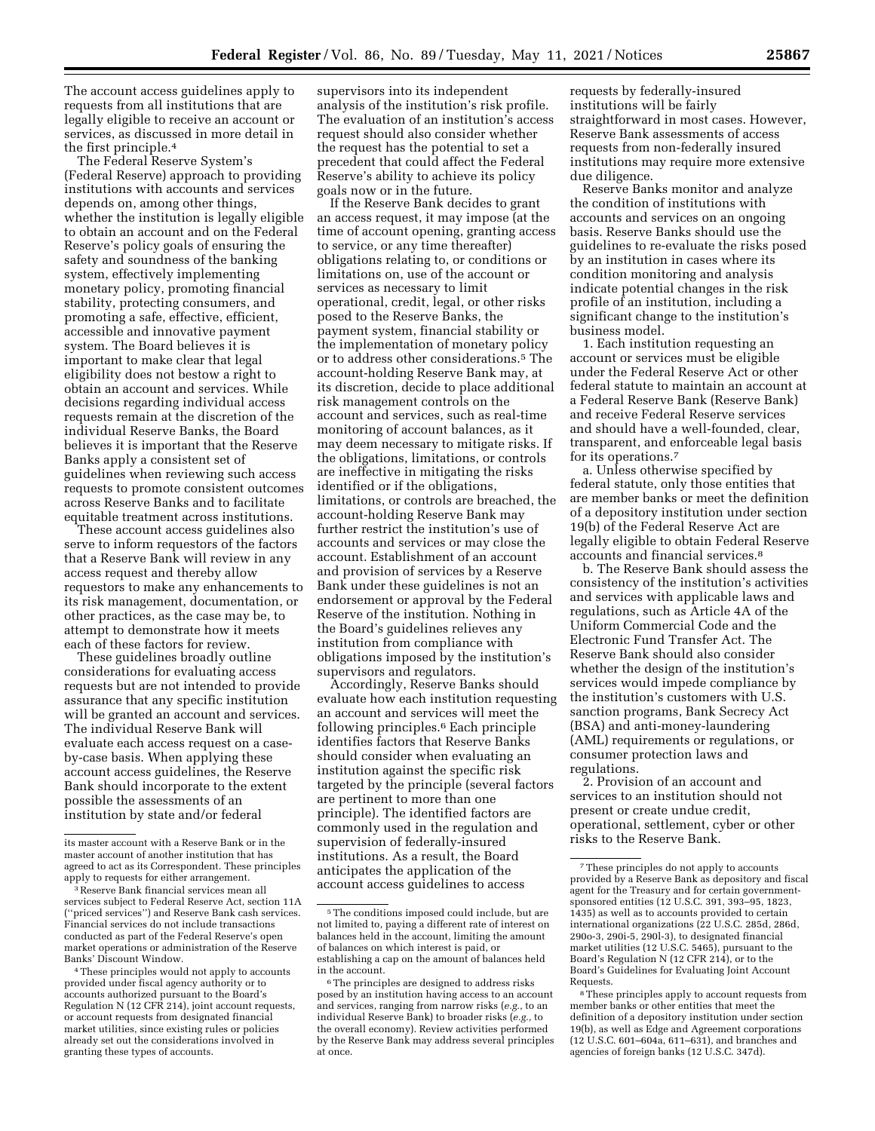The account access guidelines apply to requests from all institutions that are legally eligible to receive an account or services, as discussed in more detail in the first principle.4

The Federal Reserve System's (Federal Reserve) approach to providing institutions with accounts and services depends on, among other things, whether the institution is legally eligible to obtain an account and on the Federal Reserve's policy goals of ensuring the safety and soundness of the banking system, effectively implementing monetary policy, promoting financial stability, protecting consumers, and promoting a safe, effective, efficient, accessible and innovative payment system. The Board believes it is important to make clear that legal eligibility does not bestow a right to obtain an account and services. While decisions regarding individual access requests remain at the discretion of the individual Reserve Banks, the Board believes it is important that the Reserve Banks apply a consistent set of guidelines when reviewing such access requests to promote consistent outcomes across Reserve Banks and to facilitate equitable treatment across institutions.

These account access guidelines also serve to inform requestors of the factors that a Reserve Bank will review in any access request and thereby allow requestors to make any enhancements to its risk management, documentation, or other practices, as the case may be, to attempt to demonstrate how it meets each of these factors for review.

These guidelines broadly outline considerations for evaluating access requests but are not intended to provide assurance that any specific institution will be granted an account and services. The individual Reserve Bank will evaluate each access request on a caseby-case basis. When applying these account access guidelines, the Reserve Bank should incorporate to the extent possible the assessments of an institution by state and/or federal

4These principles would not apply to accounts provided under fiscal agency authority or to accounts authorized pursuant to the Board's Regulation N (12 CFR 214), joint account requests, or account requests from designated financial market utilities, since existing rules or policies already set out the considerations involved in granting these types of accounts.

supervisors into its independent analysis of the institution's risk profile. The evaluation of an institution's access request should also consider whether the request has the potential to set a precedent that could affect the Federal Reserve's ability to achieve its policy goals now or in the future.

If the Reserve Bank decides to grant an access request, it may impose (at the time of account opening, granting access to service, or any time thereafter) obligations relating to, or conditions or limitations on, use of the account or services as necessary to limit operational, credit, legal, or other risks posed to the Reserve Banks, the payment system, financial stability or the implementation of monetary policy or to address other considerations.5 The account-holding Reserve Bank may, at its discretion, decide to place additional risk management controls on the account and services, such as real-time monitoring of account balances, as it may deem necessary to mitigate risks. If the obligations, limitations, or controls are ineffective in mitigating the risks identified or if the obligations, limitations, or controls are breached, the account-holding Reserve Bank may further restrict the institution's use of accounts and services or may close the account. Establishment of an account and provision of services by a Reserve Bank under these guidelines is not an endorsement or approval by the Federal Reserve of the institution. Nothing in the Board's guidelines relieves any institution from compliance with obligations imposed by the institution's supervisors and regulators.

Accordingly, Reserve Banks should evaluate how each institution requesting an account and services will meet the following principles.6 Each principle identifies factors that Reserve Banks should consider when evaluating an institution against the specific risk targeted by the principle (several factors are pertinent to more than one principle). The identified factors are commonly used in the regulation and supervision of federally-insured institutions. As a result, the Board anticipates the application of the account access guidelines to access

requests by federally-insured institutions will be fairly straightforward in most cases. However, Reserve Bank assessments of access requests from non-federally insured institutions may require more extensive due diligence.

Reserve Banks monitor and analyze the condition of institutions with accounts and services on an ongoing basis. Reserve Banks should use the guidelines to re-evaluate the risks posed by an institution in cases where its condition monitoring and analysis indicate potential changes in the risk profile of an institution, including a significant change to the institution's business model.

1. Each institution requesting an account or services must be eligible under the Federal Reserve Act or other federal statute to maintain an account at a Federal Reserve Bank (Reserve Bank) and receive Federal Reserve services and should have a well-founded, clear, transparent, and enforceable legal basis for its operations.7

a. Unless otherwise specified by federal statute, only those entities that are member banks or meet the definition of a depository institution under section 19(b) of the Federal Reserve Act are legally eligible to obtain Federal Reserve accounts and financial services.8

b. The Reserve Bank should assess the consistency of the institution's activities and services with applicable laws and regulations, such as Article 4A of the Uniform Commercial Code and the Electronic Fund Transfer Act. The Reserve Bank should also consider whether the design of the institution's services would impede compliance by the institution's customers with U.S. sanction programs, Bank Secrecy Act (BSA) and anti-money-laundering (AML) requirements or regulations, or consumer protection laws and regulations.

2. Provision of an account and services to an institution should not present or create undue credit, operational, settlement, cyber or other risks to the Reserve Bank.

its master account with a Reserve Bank or in the master account of another institution that has agreed to act as its Correspondent. These principles apply to requests for either arrangement.

<sup>3</sup>Reserve Bank financial services mean all services subject to Federal Reserve Act, section 11A (''priced services'') and Reserve Bank cash services. Financial services do not include transactions conducted as part of the Federal Reserve's open market operations or administration of the Reserve Banks' Discount Window.

<sup>5</sup>The conditions imposed could include, but are not limited to, paying a different rate of interest on balances held in the account, limiting the amount of balances on which interest is paid, or establishing a cap on the amount of balances held in the account.

<sup>6</sup>The principles are designed to address risks posed by an institution having access to an account and services, ranging from narrow risks (*e.g.,* to an individual Reserve Bank) to broader risks (*e.g.,* to the overall economy). Review activities performed by the Reserve Bank may address several principles at once.

<sup>7</sup>These principles do not apply to accounts provided by a Reserve Bank as depository and fiscal agent for the Treasury and for certain governmentsponsored entities (12 U.S.C. 391, 393–95, 1823, 1435) as well as to accounts provided to certain international organizations (22 U.S.C. 285d, 286d, 290o-3, 290i-5, 290l-3), to designated financial market utilities (12 U.S.C. 5465), pursuant to the Board's Regulation N (12 CFR 214), or to the Board's Guidelines for Evaluating Joint Account Requests.

<sup>8</sup>These principles apply to account requests from member banks or other entities that meet the definition of a depository institution under section 19(b), as well as Edge and Agreement corporations (12 U.S.C. 601–604a, 611–631), and branches and agencies of foreign banks (12 U.S.C. 347d).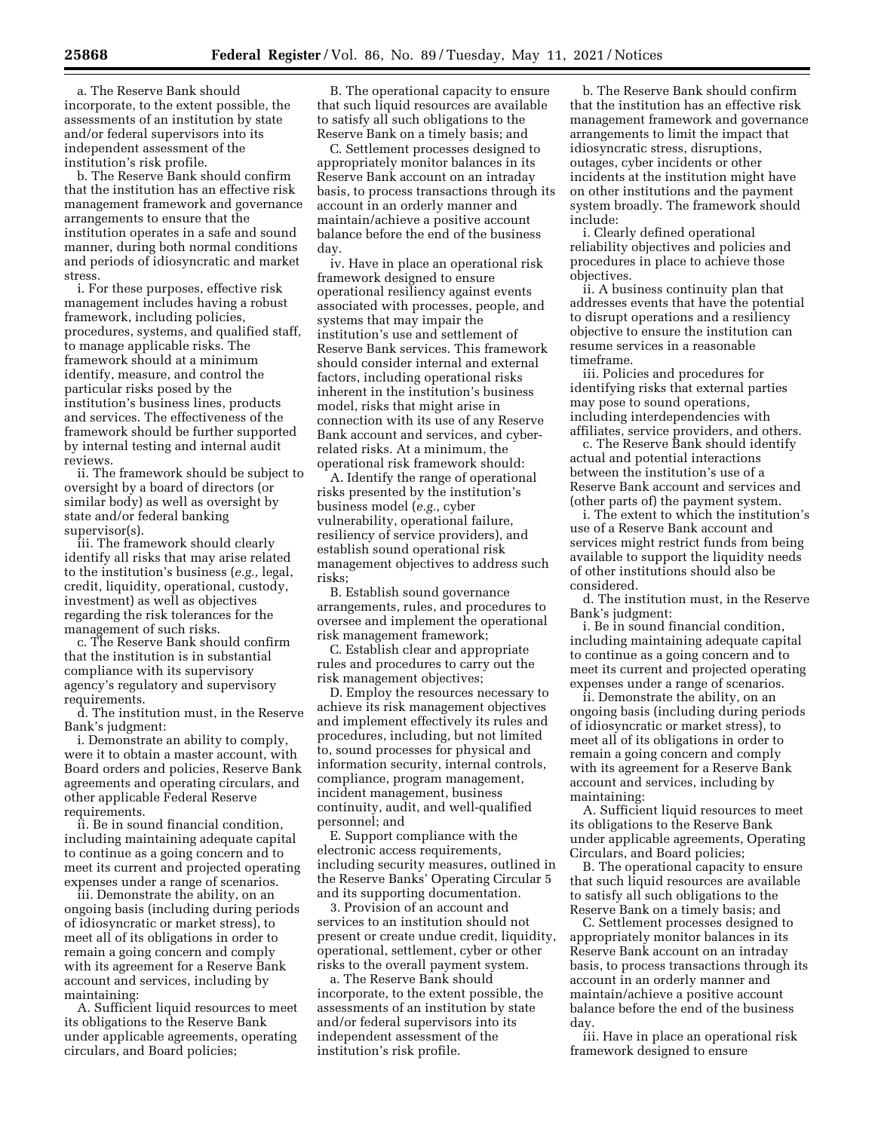a. The Reserve Bank should incorporate, to the extent possible, the assessments of an institution by state and/or federal supervisors into its independent assessment of the institution's risk profile.

b. The Reserve Bank should confirm that the institution has an effective risk management framework and governance arrangements to ensure that the institution operates in a safe and sound manner, during both normal conditions and periods of idiosyncratic and market stress.

i. For these purposes, effective risk management includes having a robust framework, including policies, procedures, systems, and qualified staff, to manage applicable risks. The framework should at a minimum identify, measure, and control the particular risks posed by the institution's business lines, products and services. The effectiveness of the framework should be further supported by internal testing and internal audit reviews.

ii. The framework should be subject to oversight by a board of directors (or similar body) as well as oversight by state and/or federal banking supervisor(s).

iii. The framework should clearly identify all risks that may arise related to the institution's business (*e.g.,* legal, credit, liquidity, operational, custody, investment) as well as objectives regarding the risk tolerances for the management of such risks.

c. The Reserve Bank should confirm that the institution is in substantial compliance with its supervisory agency's regulatory and supervisory requirements.

d. The institution must, in the Reserve Bank's judgment:

i. Demonstrate an ability to comply, were it to obtain a master account, with Board orders and policies, Reserve Bank agreements and operating circulars, and other applicable Federal Reserve requirements.

ii. Be in sound financial condition, including maintaining adequate capital to continue as a going concern and to meet its current and projected operating expenses under a range of scenarios.

iii. Demonstrate the ability, on an ongoing basis (including during periods of idiosyncratic or market stress), to meet all of its obligations in order to remain a going concern and comply with its agreement for a Reserve Bank account and services, including by maintaining:

A. Sufficient liquid resources to meet its obligations to the Reserve Bank under applicable agreements, operating circulars, and Board policies;

B. The operational capacity to ensure that such liquid resources are available to satisfy all such obligations to the Reserve Bank on a timely basis; and

C. Settlement processes designed to appropriately monitor balances in its Reserve Bank account on an intraday basis, to process transactions through its account in an orderly manner and maintain/achieve a positive account balance before the end of the business day.

iv. Have in place an operational risk framework designed to ensure operational resiliency against events associated with processes, people, and systems that may impair the institution's use and settlement of Reserve Bank services. This framework should consider internal and external factors, including operational risks inherent in the institution's business model, risks that might arise in connection with its use of any Reserve Bank account and services, and cyberrelated risks. At a minimum, the operational risk framework should:

A. Identify the range of operational risks presented by the institution's business model (*e.g.,* cyber vulnerability, operational failure, resiliency of service providers), and establish sound operational risk management objectives to address such risks;

B. Establish sound governance arrangements, rules, and procedures to oversee and implement the operational risk management framework;

C. Establish clear and appropriate rules and procedures to carry out the risk management objectives;

D. Employ the resources necessary to achieve its risk management objectives and implement effectively its rules and procedures, including, but not limited to, sound processes for physical and information security, internal controls, compliance, program management, incident management, business continuity, audit, and well-qualified personnel; and

E. Support compliance with the electronic access requirements, including security measures, outlined in the Reserve Banks' Operating Circular 5 and its supporting documentation.

3. Provision of an account and services to an institution should not present or create undue credit, liquidity, operational, settlement, cyber or other risks to the overall payment system.

a. The Reserve Bank should incorporate, to the extent possible, the assessments of an institution by state and/or federal supervisors into its independent assessment of the institution's risk profile.

b. The Reserve Bank should confirm that the institution has an effective risk management framework and governance arrangements to limit the impact that idiosyncratic stress, disruptions, outages, cyber incidents or other incidents at the institution might have on other institutions and the payment system broadly. The framework should include:

i. Clearly defined operational reliability objectives and policies and procedures in place to achieve those objectives.

ii. A business continuity plan that addresses events that have the potential to disrupt operations and a resiliency objective to ensure the institution can resume services in a reasonable timeframe.

iii. Policies and procedures for identifying risks that external parties may pose to sound operations, including interdependencies with affiliates, service providers, and others.

c. The Reserve Bank should identify actual and potential interactions between the institution's use of a Reserve Bank account and services and (other parts of) the payment system.

i. The extent to which the institution's use of a Reserve Bank account and services might restrict funds from being available to support the liquidity needs of other institutions should also be considered.

d. The institution must, in the Reserve Bank's judgment:

i. Be in sound financial condition, including maintaining adequate capital to continue as a going concern and to meet its current and projected operating expenses under a range of scenarios.

ii. Demonstrate the ability, on an ongoing basis (including during periods of idiosyncratic or market stress), to meet all of its obligations in order to remain a going concern and comply with its agreement for a Reserve Bank account and services, including by maintaining:

A. Sufficient liquid resources to meet its obligations to the Reserve Bank under applicable agreements, Operating Circulars, and Board policies;

B. The operational capacity to ensure that such liquid resources are available to satisfy all such obligations to the Reserve Bank on a timely basis; and

C. Settlement processes designed to appropriately monitor balances in its Reserve Bank account on an intraday basis, to process transactions through its account in an orderly manner and maintain/achieve a positive account balance before the end of the business day.

iii. Have in place an operational risk framework designed to ensure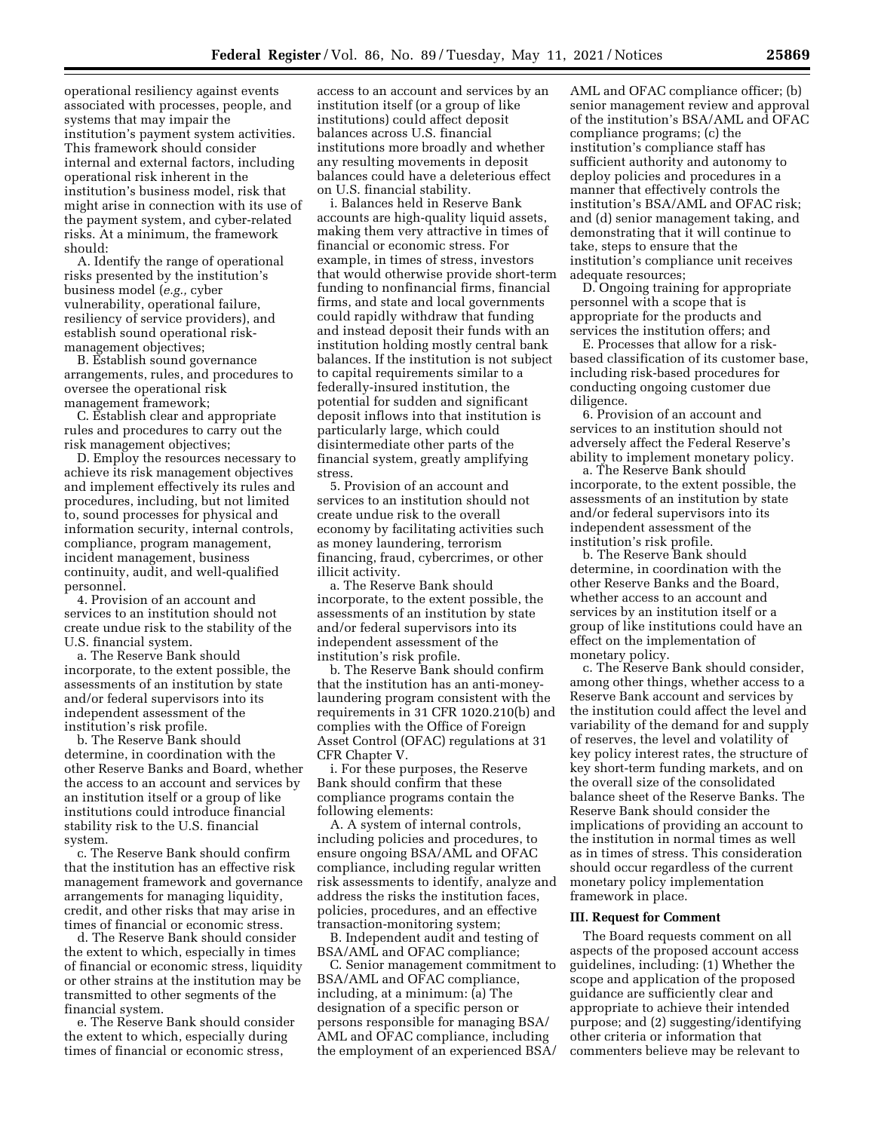operational resiliency against events associated with processes, people, and systems that may impair the institution's payment system activities. This framework should consider internal and external factors, including operational risk inherent in the institution's business model, risk that might arise in connection with its use of the payment system, and cyber-related risks. At a minimum, the framework should:

A. Identify the range of operational risks presented by the institution's business model (*e.g.,* cyber vulnerability, operational failure, resiliency of service providers), and establish sound operational riskmanagement objectives;

B. Establish sound governance arrangements, rules, and procedures to oversee the operational risk management framework;

C. Establish clear and appropriate rules and procedures to carry out the risk management objectives;

D. Employ the resources necessary to achieve its risk management objectives and implement effectively its rules and procedures, including, but not limited to, sound processes for physical and information security, internal controls, compliance, program management, incident management, business continuity, audit, and well-qualified personnel.

4. Provision of an account and services to an institution should not create undue risk to the stability of the U.S. financial system.

a. The Reserve Bank should incorporate, to the extent possible, the assessments of an institution by state and/or federal supervisors into its independent assessment of the institution's risk profile.

b. The Reserve Bank should determine, in coordination with the other Reserve Banks and Board, whether the access to an account and services by an institution itself or a group of like institutions could introduce financial stability risk to the U.S. financial system.

c. The Reserve Bank should confirm that the institution has an effective risk management framework and governance arrangements for managing liquidity, credit, and other risks that may arise in times of financial or economic stress.

d. The Reserve Bank should consider the extent to which, especially in times of financial or economic stress, liquidity or other strains at the institution may be transmitted to other segments of the financial system.

e. The Reserve Bank should consider the extent to which, especially during times of financial or economic stress,

access to an account and services by an institution itself (or a group of like institutions) could affect deposit balances across U.S. financial institutions more broadly and whether any resulting movements in deposit balances could have a deleterious effect on U.S. financial stability.

i. Balances held in Reserve Bank accounts are high-quality liquid assets, making them very attractive in times of financial or economic stress. For example, in times of stress, investors that would otherwise provide short-term funding to nonfinancial firms, financial firms, and state and local governments could rapidly withdraw that funding and instead deposit their funds with an institution holding mostly central bank balances. If the institution is not subject to capital requirements similar to a federally-insured institution, the potential for sudden and significant deposit inflows into that institution is particularly large, which could disintermediate other parts of the financial system, greatly amplifying stress.

5. Provision of an account and services to an institution should not create undue risk to the overall economy by facilitating activities such as money laundering, terrorism financing, fraud, cybercrimes, or other illicit activity.

a. The Reserve Bank should incorporate, to the extent possible, the assessments of an institution by state and/or federal supervisors into its independent assessment of the institution's risk profile.

b. The Reserve Bank should confirm that the institution has an anti-moneylaundering program consistent with the requirements in 31 CFR 1020.210(b) and complies with the Office of Foreign Asset Control (OFAC) regulations at 31 CFR Chapter V.

i. For these purposes, the Reserve Bank should confirm that these compliance programs contain the following elements:

A. A system of internal controls, including policies and procedures, to ensure ongoing BSA/AML and OFAC compliance, including regular written risk assessments to identify, analyze and address the risks the institution faces, policies, procedures, and an effective transaction-monitoring system;

B. Independent audit and testing of BSA/AML and OFAC compliance;

C. Senior management commitment to BSA/AML and OFAC compliance, including, at a minimum: (a) The designation of a specific person or persons responsible for managing BSA/ AML and OFAC compliance, including the employment of an experienced BSA/

AML and OFAC compliance officer; (b) senior management review and approval of the institution's BSA/AML and OFAC compliance programs; (c) the institution's compliance staff has sufficient authority and autonomy to deploy policies and procedures in a manner that effectively controls the institution's BSA/AML and OFAC risk; and (d) senior management taking, and demonstrating that it will continue to take, steps to ensure that the institution's compliance unit receives adequate resources;

D. Ongoing training for appropriate personnel with a scope that is appropriate for the products and services the institution offers; and

E. Processes that allow for a riskbased classification of its customer base, including risk-based procedures for conducting ongoing customer due diligence.

6. Provision of an account and services to an institution should not adversely affect the Federal Reserve's ability to implement monetary policy.

a. The Reserve Bank should incorporate, to the extent possible, the assessments of an institution by state and/or federal supervisors into its independent assessment of the institution's risk profile.

b. The Reserve Bank should determine, in coordination with the other Reserve Banks and the Board, whether access to an account and services by an institution itself or a group of like institutions could have an effect on the implementation of monetary policy.

c. The Reserve Bank should consider, among other things, whether access to a Reserve Bank account and services by the institution could affect the level and variability of the demand for and supply of reserves, the level and volatility of key policy interest rates, the structure of key short-term funding markets, and on the overall size of the consolidated balance sheet of the Reserve Banks. The Reserve Bank should consider the implications of providing an account to the institution in normal times as well as in times of stress. This consideration should occur regardless of the current monetary policy implementation framework in place.

#### **III. Request for Comment**

The Board requests comment on all aspects of the proposed account access guidelines, including: (1) Whether the scope and application of the proposed guidance are sufficiently clear and appropriate to achieve their intended purpose; and (2) suggesting/identifying other criteria or information that commenters believe may be relevant to